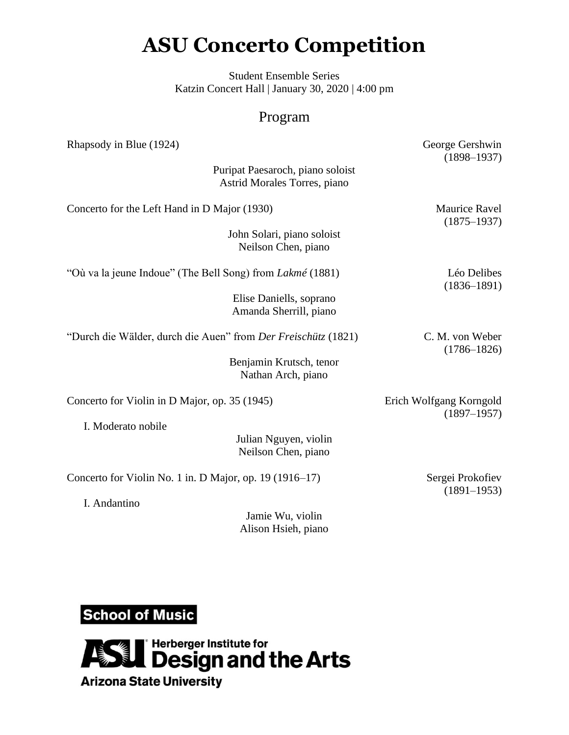## **ASU Concerto Competition**

Student Ensemble Series Katzin Concert Hall | January 30, 2020 | 4:00 pm

## Program

| Rhapsody in Blue (1924)                                            | George Gershwin<br>$(1898 - 1937)$         |
|--------------------------------------------------------------------|--------------------------------------------|
| Puripat Paesaroch, piano soloist<br>Astrid Morales Torres, piano   |                                            |
| Concerto for the Left Hand in D Major (1930)                       | <b>Maurice Ravel</b><br>$(1875 - 1937)$    |
| John Solari, piano soloist<br>Neilson Chen, piano                  |                                            |
| "Où va la jeune Indoue" (The Bell Song) from Lakmé (1881)          | Léo Delibes<br>$(1836 - 1891)$             |
| Elise Daniells, soprano<br>Amanda Sherrill, piano                  |                                            |
| "Durch die Wälder, durch die Auen" from Der Freischütz (1821)      | C. M. von Weber<br>$(1786 - 1826)$         |
| Benjamin Krutsch, tenor<br>Nathan Arch, piano                      |                                            |
| Concerto for Violin in D Major, op. 35 (1945)                      | Erich Wolfgang Korngold<br>$(1897 - 1957)$ |
| I. Moderato nobile<br>Julian Nguyen, violin<br>Neilson Chen, piano |                                            |
| Concerto for Violin No. 1 in. D Major, op. 19 (1916-17)            | Sergei Prokofiev<br>$(1891 - 1953)$        |
| I. Andantino                                                       |                                            |

Jamie Wu, violin Alison Hsieh, piano

**School of Music**